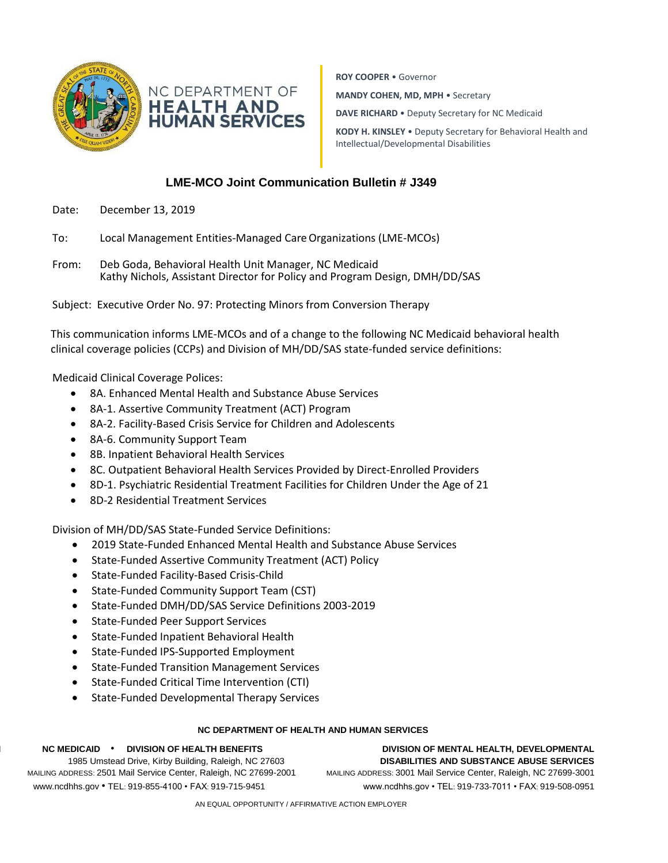



**ROY COOPER** • Governor

**MANDY COHEN, MD, MPH** • Secretary

**DAVE RICHARD** • Deputy Secretary for NC Medicaid

**KODY H. KINSLEY** • Deputy Secretary for Behavioral Health and Intellectual/Developmental Disabilities

## **LME-MCO Joint Communication Bulletin # J349**

- Date: December 13, 2019
- To: Local Management Entities-Managed Care Organizations (LME-MCOs)
- From: Deb Goda, Behavioral Health Unit Manager, NC Medicaid Kathy Nichols, Assistant Director for Policy and Program Design, DMH/DD/SAS

Subject: Executive Order No. 97: Protecting Minors from Conversion Therapy

This communication informs LME-MCOs and of a change to the following NC Medicaid behavioral health clinical coverage policies (CCPs) and Division of MH/DD/SAS state-funded service definitions:

## Medicaid Clinical Coverage Polices:

- 8A. Enhanced Mental Health and Substance Abuse Services
- 8A-1. Assertive Community Treatment (ACT) Program
- 8A-2. Facility-Based Crisis Service for Children and Adolescents
- 8A-6. Community Support Team
- 8B. Inpatient Behavioral Health Services
- 8C. Outpatient Behavioral Health Services Provided by Direct-Enrolled Providers
- 8D-1. Psychiatric Residential Treatment Facilities for Children Under the Age of 21
- 8D-2 Residential Treatment Services

Division of MH/DD/SAS State-Funded Service Definitions:

- 2019 State-Funded Enhanced Mental Health and Substance Abuse Services
- State-Funded Assertive Community Treatment (ACT) Policy
- State-Funded Facility-Based Crisis-Child
- State-Funded Community Support Team (CST)
- State-Funded DMH/DD/SAS Service Definitions 2003-2019
- State-Funded Peer Support Services
- State-Funded Inpatient Behavioral Health
- State-Funded IPS-Supported Employment
- State-Funded Transition Management Services
- State-Funded Critical Time Intervention (CTI)
- State-Funded Developmental Therapy Services

## **NC DEPARTMENT OF HEALTH AND HUMAN SERVICES**

[www.ncdh](http://www.ncdh/) www.ncdhhs.gov • TEL: 919-855-4100 • FAX: 919-715-9451 www.ncdhhs.gov • TEL: 919-733-7011 • FAX: 919-508-0951

**NC M NC MEDICAID** • **DIVISION OF HEALTH BENEFITS DIVISION OF MENTAL HEALTH, DEVELOPMENTAL**  LOCATION: 1985 Umstead Drive, Kirby Building, Raleigh, NC 27603 **DISABILITIES AND SUBSTANCE ABUSE SERVICES** MAILING ADDRESS: 2501 Mail Service Center, Raleigh, NC 27699-2001 MAILING ADDRESS: 3001 Mail Service Center, Raleigh, NC 27699-3001